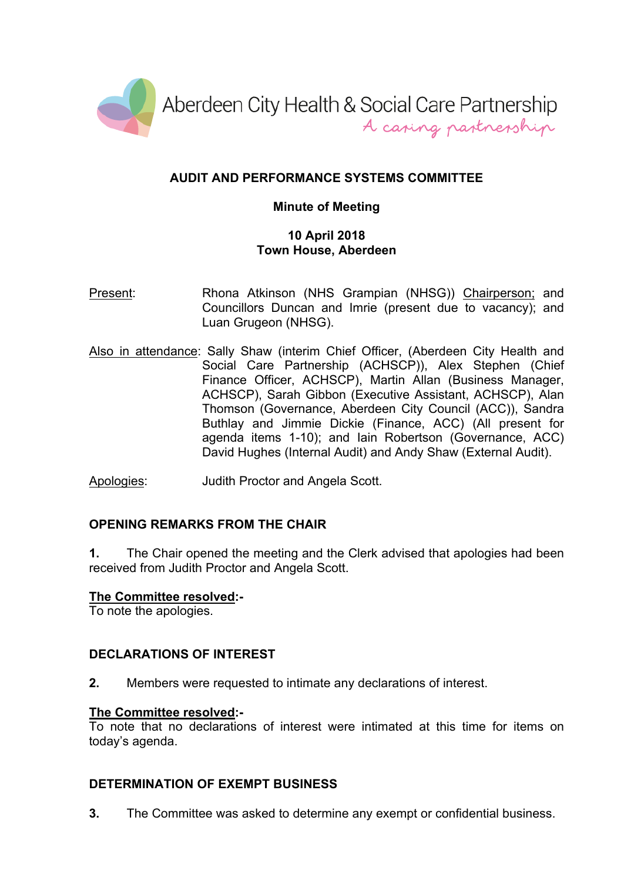

# **AUDIT AND PERFORMANCE SYSTEMS COMMITTEE**

## **Minute of Meeting**

### **10 April 2018 Town House, Aberdeen**

- Present: Rhona Atkinson (NHS Grampian (NHSG)) Chairperson; and Councillors Duncan and Imrie (present due to vacancy); and Luan Grugeon (NHSG).
- Also in attendance: Sally Shaw (interim Chief Officer, (Aberdeen City Health and Social Care Partnership (ACHSCP)), Alex Stephen (Chief Finance Officer, ACHSCP), Martin Allan (Business Manager, ACHSCP), Sarah Gibbon (Executive Assistant, ACHSCP), Alan Thomson (Governance, Aberdeen City Council (ACC)), Sandra Buthlay and Jimmie Dickie (Finance, ACC) (All present for agenda items 1-10); and Iain Robertson (Governance, ACC) David Hughes (Internal Audit) and Andy Shaw (External Audit).

Apologies: Judith Proctor and Angela Scott.

# **OPENING REMARKS FROM THE CHAIR**

**1.** The Chair opened the meeting and the Clerk advised that apologies had been received from Judith Proctor and Angela Scott.

#### **The Committee resolved:-**

To note the apologies.

# **DECLARATIONS OF INTEREST**

**2.** Members were requested to intimate any declarations of interest.

#### **The Committee resolved:-**

To note that no declarations of interest were intimated at this time for items on today's agenda.

#### **DETERMINATION OF EXEMPT BUSINESS**

**3.** The Committee was asked to determine any exempt or confidential business.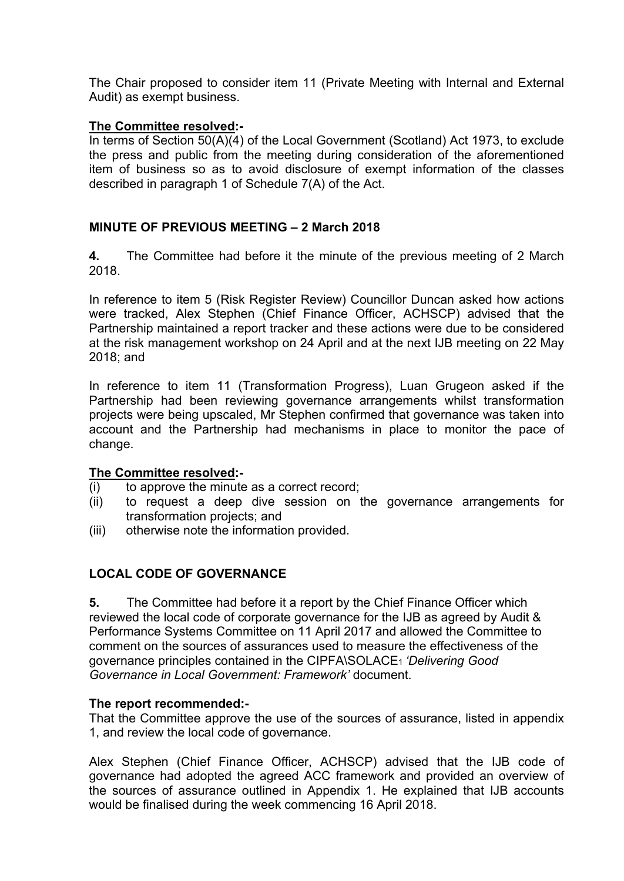The Chair proposed to consider item 11 (Private Meeting with Internal and External Audit) as exempt business.

### **The Committee resolved:-**

In terms of Section 50(A)(4) of the Local Government (Scotland) Act 1973, to exclude the press and public from the meeting during consideration of the aforementioned item of business so as to avoid disclosure of exempt information of the classes described in paragraph 1 of Schedule 7(A) of the Act.

# **MINUTE OF PREVIOUS MEETING – 2 March 2018**

**4.** The Committee had before it the minute of the previous meeting of 2 March 2018.

In reference to item 5 (Risk Register Review) Councillor Duncan asked how actions were tracked, Alex Stephen (Chief Finance Officer, ACHSCP) advised that the Partnership maintained a report tracker and these actions were due to be considered at the risk management workshop on 24 April and at the next IJB meeting on 22 May 2018; and

In reference to item 11 (Transformation Progress), Luan Grugeon asked if the Partnership had been reviewing governance arrangements whilst transformation projects were being upscaled, Mr Stephen confirmed that governance was taken into account and the Partnership had mechanisms in place to monitor the pace of change.

#### **The Committee resolved:-**

- $(i)$  to approve the minute as a correct record;
- (ii) to request a deep dive session on the governance arrangements for transformation projects; and
- (iii) otherwise note the information provided.

#### **LOCAL CODE OF GOVERNANCE**

**5.** The Committee had before it a report by the Chief Finance Officer which reviewed the local code of corporate governance for the IJB as agreed by Audit & Performance Systems Committee on 11 April 2017 and allowed the Committee to comment on the sources of assurances used to measure the effectiveness of the governance principles contained in the CIPFA\SOLACE<sup>1</sup> *'Delivering Good Governance in Local Government: Framework'* document.

#### **The report recommended:-**

That the Committee approve the use of the sources of assurance, listed in appendix 1, and review the local code of governance.

Alex Stephen (Chief Finance Officer, ACHSCP) advised that the IJB code of governance had adopted the agreed ACC framework and provided an overview of the sources of assurance outlined in Appendix 1. He explained that IJB accounts would be finalised during the week commencing 16 April 2018.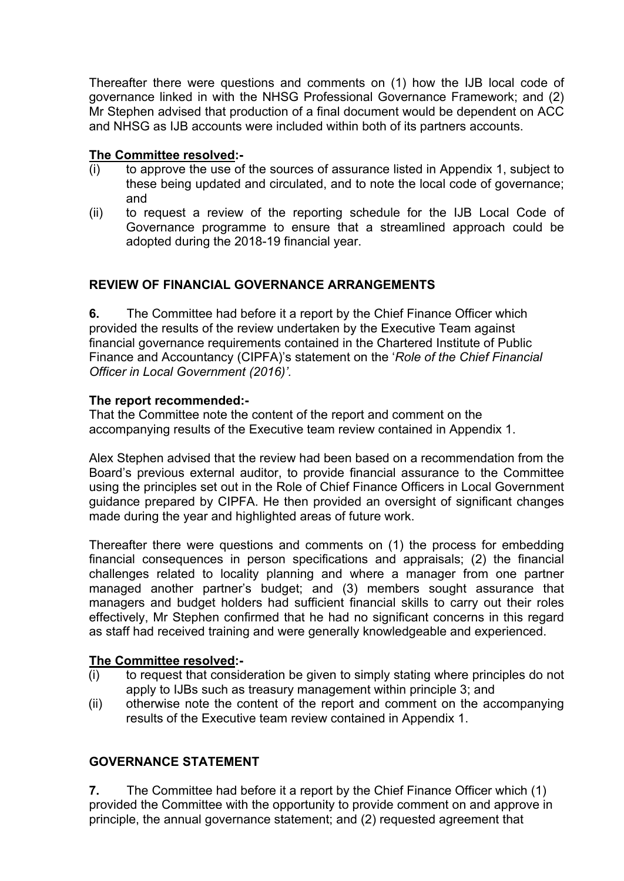Thereafter there were questions and comments on (1) how the IJB local code of governance linked in with the NHSG Professional Governance Framework; and (2) Mr Stephen advised that production of a final document would be dependent on ACC and NHSG as IJB accounts were included within both of its partners accounts.

# **The Committee resolved:-**

- (i) to approve the use of the sources of assurance listed in Appendix 1, subject to these being updated and circulated, and to note the local code of governance; and
- (ii) to request a review of the reporting schedule for the IJB Local Code of Governance programme to ensure that a streamlined approach could be adopted during the 2018-19 financial year.

## **REVIEW OF FINANCIAL GOVERNANCE ARRANGEMENTS**

**6.** The Committee had before it a report by the Chief Finance Officer which provided the results of the review undertaken by the Executive Team against financial governance requirements contained in the Chartered Institute of Public Finance and Accountancy (CIPFA)'s statement on the '*Role of the Chief Financial Officer in Local Government (2016)'.*

#### **The report recommended:-**

That the Committee note the content of the report and comment on the accompanying results of the Executive team review contained in Appendix 1.

Alex Stephen advised that the review had been based on a recommendation from the Board's previous external auditor, to provide financial assurance to the Committee using the principles set out in the Role of Chief Finance Officers in Local Government guidance prepared by CIPFA. He then provided an oversight of significant changes made during the year and highlighted areas of future work.

Thereafter there were questions and comments on (1) the process for embedding financial consequences in person specifications and appraisals; (2) the financial challenges related to locality planning and where a manager from one partner managed another partner's budget; and (3) members sought assurance that managers and budget holders had sufficient financial skills to carry out their roles effectively, Mr Stephen confirmed that he had no significant concerns in this regard as staff had received training and were generally knowledgeable and experienced.

#### **The Committee resolved:-**

- (i) to request that consideration be given to simply stating where principles do not apply to IJBs such as treasury management within principle 3; and
- (ii) otherwise note the content of the report and comment on the accompanying results of the Executive team review contained in Appendix 1.

#### **GOVERNANCE STATEMENT**

**7.** The Committee had before it a report by the Chief Finance Officer which (1) provided the Committee with the opportunity to provide comment on and approve in principle, the annual governance statement; and (2) requested agreement that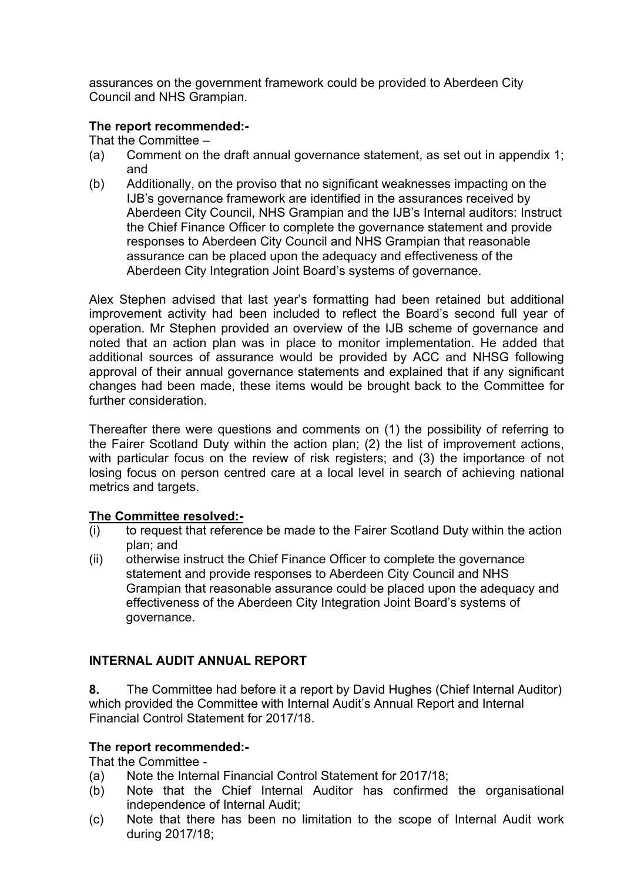assurances on the government framework could be provided to Aberdeen City Council and NHS Grampian.

# **The report recommended:-**

That the Committee –

- (a) Comment on the draft annual governance statement, as set out in appendix 1; and
- (b) Additionally, on the proviso that no significant weaknesses impacting on the IJB's governance framework are identified in the assurances received by Aberdeen City Council, NHS Grampian and the IJB's Internal auditors: Instruct the Chief Finance Officer to complete the governance statement and provide responses to Aberdeen City Council and NHS Grampian that reasonable assurance can be placed upon the adequacy and effectiveness of the Aberdeen City Integration Joint Board's systems of governance.

Alex Stephen advised that last year's formatting had been retained but additional improvement activity had been included to reflect the Board's second full year of operation. Mr Stephen provided an overview of the IJB scheme of governance and noted that an action plan was in place to monitor implementation. He added that additional sources of assurance would be provided by ACC and NHSG following approval of their annual governance statements and explained that if any significant changes had been made, these items would be brought back to the Committee for further consideration

Thereafter there were questions and comments on (1) the possibility of referring to the Fairer Scotland Duty within the action plan; (2) the list of improvement actions, with particular focus on the review of risk registers; and (3) the importance of not losing focus on person centred care at a local level in search of achieving national metrics and targets.

#### **The Committee resolved:-**

- (i) to request that reference be made to the Fairer Scotland Duty within the action plan; and
- (ii) otherwise instruct the Chief Finance Officer to complete the governance statement and provide responses to Aberdeen City Council and NHS Grampian that reasonable assurance could be placed upon the adequacy and effectiveness of the Aberdeen City Integration Joint Board's systems of governance.

# **INTERNAL AUDIT ANNUAL REPORT**

**8.** The Committee had before it a report by David Hughes (Chief Internal Auditor) which provided the Committee with Internal Audit's Annual Report and Internal Financial Control Statement for 2017/18.

#### **The report recommended:-**

That the Committee -

- (a) Note the Internal Financial Control Statement for 2017/18;
- (b) Note that the Chief Internal Auditor has confirmed the organisational independence of Internal Audit;
- (c) Note that there has been no limitation to the scope of Internal Audit work during 2017/18;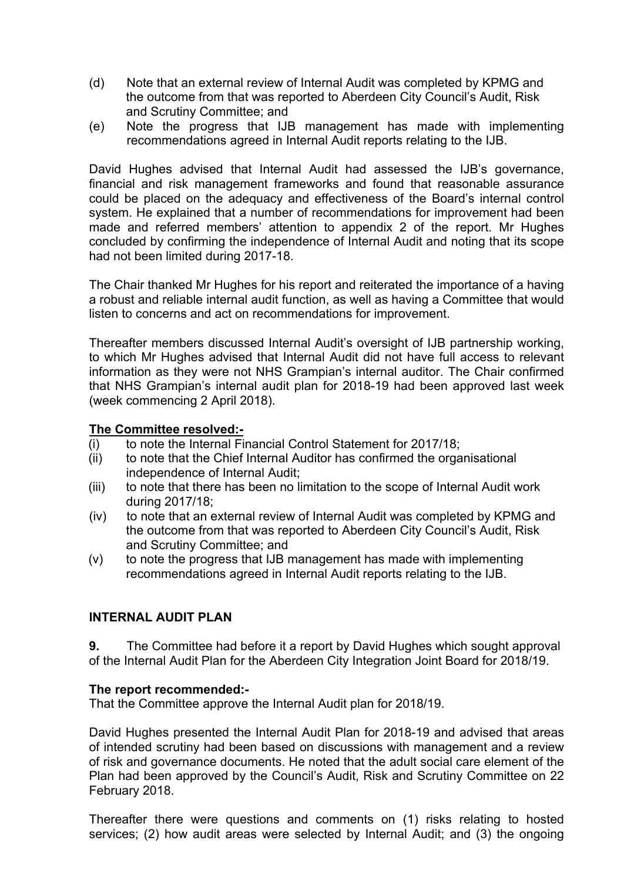- (d) Note that an external review of Internal Audit was completed by KPMG and the outcome from that was reported to Aberdeen City Council's Audit, Risk and Scrutiny Committee; and
- (e) Note the progress that IJB management has made with implementing recommendations agreed in Internal Audit reports relating to the IJB.

David Hughes advised that Internal Audit had assessed the IJB's governance, financial and risk management frameworks and found that reasonable assurance could be placed on the adequacy and effectiveness of the Board's internal control system. He explained that a number of recommendations for improvement had been made and referred members' attention to appendix 2 of the report. Mr Hughes concluded by confirming the independence of Internal Audit and noting that its scope had not been limited during 2017-18.

The Chair thanked Mr Hughes for his report and reiterated the importance of a having a robust and reliable internal audit function, as well as having a Committee that would listen to concerns and act on recommendations for improvement.

Thereafter members discussed Internal Audit's oversight of IJB partnership working, to which Mr Hughes advised that Internal Audit did not have full access to relevant information as they were not NHS Grampian's internal auditor. The Chair confirmed that NHS Grampian's internal audit plan for 2018-19 had been approved last week (week commencing 2 April 2018).

#### **The Committee resolved:-**

- (i) to note the Internal Financial Control Statement for 2017/18;
- (ii) to note that the Chief Internal Auditor has confirmed the organisational independence of Internal Audit;
- (iii) to note that there has been no limitation to the scope of Internal Audit work during 2017/18;
- (iv) to note that an external review of Internal Audit was completed by KPMG and the outcome from that was reported to Aberdeen City Council's Audit, Risk and Scrutiny Committee; and
- (v) to note the progress that IJB management has made with implementing recommendations agreed in Internal Audit reports relating to the IJB.

#### **INTERNAL AUDIT PLAN**

**9.** The Committee had before it a report by David Hughes which sought approval of the Internal Audit Plan for the Aberdeen City Integration Joint Board for 2018/19.

#### **The report recommended:-**

That the Committee approve the Internal Audit plan for 2018/19.

David Hughes presented the Internal Audit Plan for 2018-19 and advised that areas of intended scrutiny had been based on discussions with management and a review of risk and governance documents. He noted that the adult social care element of the Plan had been approved by the Council's Audit, Risk and Scrutiny Committee on 22 February 2018.

Thereafter there were questions and comments on (1) risks relating to hosted services; (2) how audit areas were selected by Internal Audit; and (3) the ongoing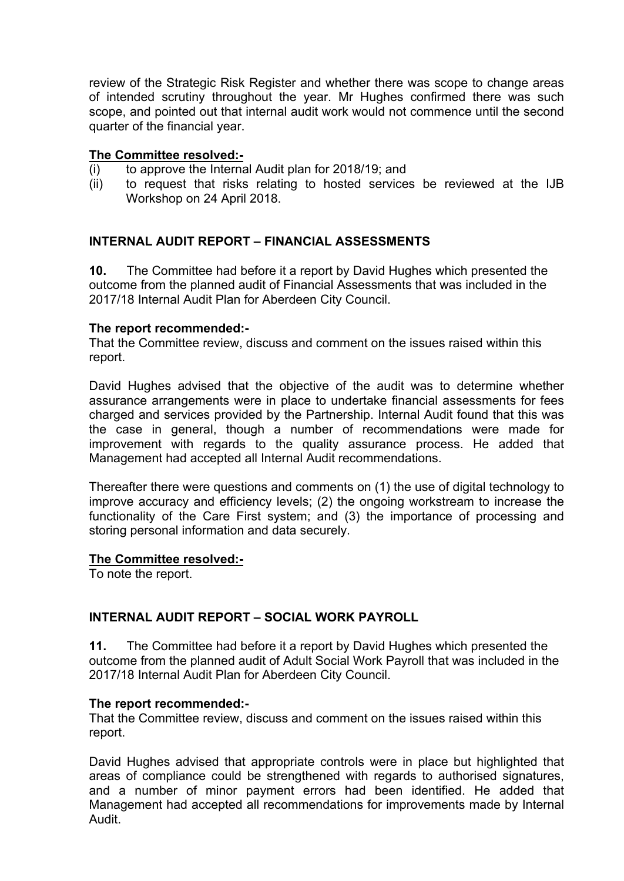review of the Strategic Risk Register and whether there was scope to change areas of intended scrutiny throughout the year. Mr Hughes confirmed there was such scope, and pointed out that internal audit work would not commence until the second quarter of the financial year.

#### **The Committee resolved:-**

- (i) to approve the Internal Audit plan for 2018/19; and
- (ii) to request that risks relating to hosted services be reviewed at the IJB Workshop on 24 April 2018.

#### **INTERNAL AUDIT REPORT – FINANCIAL ASSESSMENTS**

**10.** The Committee had before it a report by David Hughes which presented the outcome from the planned audit of Financial Assessments that was included in the 2017/18 Internal Audit Plan for Aberdeen City Council.

#### **The report recommended:-**

That the Committee review, discuss and comment on the issues raised within this report.

David Hughes advised that the objective of the audit was to determine whether assurance arrangements were in place to undertake financial assessments for fees charged and services provided by the Partnership. Internal Audit found that this was the case in general, though a number of recommendations were made for improvement with regards to the quality assurance process. He added that Management had accepted all Internal Audit recommendations.

Thereafter there were questions and comments on (1) the use of digital technology to improve accuracy and efficiency levels; (2) the ongoing workstream to increase the functionality of the Care First system; and (3) the importance of processing and storing personal information and data securely.

#### **The Committee resolved:-**

To note the report.

#### **INTERNAL AUDIT REPORT – SOCIAL WORK PAYROLL**

**11.** The Committee had before it a report by David Hughes which presented the outcome from the planned audit of Adult Social Work Payroll that was included in the 2017/18 Internal Audit Plan for Aberdeen City Council.

#### **The report recommended:-**

That the Committee review, discuss and comment on the issues raised within this report.

David Hughes advised that appropriate controls were in place but highlighted that areas of compliance could be strengthened with regards to authorised signatures, and a number of minor payment errors had been identified. He added that Management had accepted all recommendations for improvements made by Internal Audit.